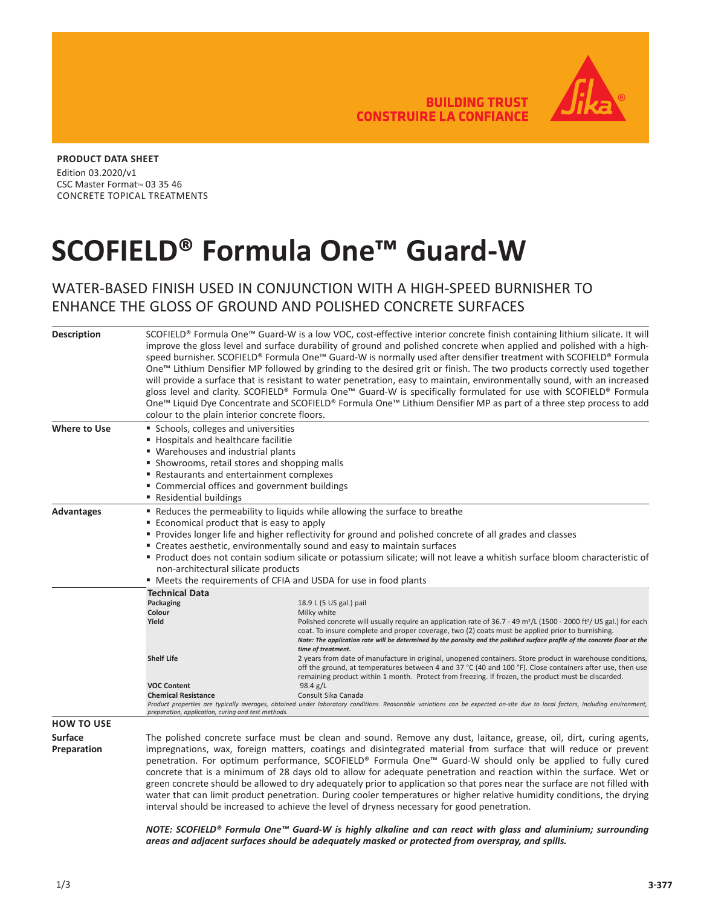**BUILDING TRUST CONSTRUIRE LA CONFIANCE** 



**PRODUCT DATA SHEET** Edition 03.2020/v1 CSC Master Format<sup>™</sup> 03 35 46 CONCRETE TOPICAL TREATMENTS

## **SCOFIELD® Formula One™ Guard-W**

WATER-BASED FINISH USED IN CONJUNCTION WITH A HIGH-SPEED BURNISHER TO ENHANCE THE GLOSS OF GROUND AND POLISHED CONCRETE SURFACES

| <b>Description</b>                                 | SCOFIELD® Formula One™ Guard-W is a low VOC, cost-effective interior concrete finish containing lithium silicate. It will<br>improve the gloss level and surface durability of ground and polished concrete when applied and polished with a high-<br>speed burnisher. SCOFIELD® Formula One™ Guard-W is normally used after densifier treatment with SCOFIELD® Formula<br>One™ Lithium Densifier MP followed by grinding to the desired grit or finish. The two products correctly used together<br>will provide a surface that is resistant to water penetration, easy to maintain, environmentally sound, with an increased<br>gloss level and clarity. SCOFIELD® Formula One™ Guard-W is specifically formulated for use with SCOFIELD® Formula<br>One™ Liquid Dye Concentrate and SCOFIELD® Formula One™ Lithium Densifier MP as part of a three step process to add<br>colour to the plain interior concrete floors. |                                                                                                                                                                                                                                                                                                                                                                                                                                                                                                                                                                                                                                                                                                                                                                                                                                                                                                                                                                                                 |  |
|----------------------------------------------------|----------------------------------------------------------------------------------------------------------------------------------------------------------------------------------------------------------------------------------------------------------------------------------------------------------------------------------------------------------------------------------------------------------------------------------------------------------------------------------------------------------------------------------------------------------------------------------------------------------------------------------------------------------------------------------------------------------------------------------------------------------------------------------------------------------------------------------------------------------------------------------------------------------------------------|-------------------------------------------------------------------------------------------------------------------------------------------------------------------------------------------------------------------------------------------------------------------------------------------------------------------------------------------------------------------------------------------------------------------------------------------------------------------------------------------------------------------------------------------------------------------------------------------------------------------------------------------------------------------------------------------------------------------------------------------------------------------------------------------------------------------------------------------------------------------------------------------------------------------------------------------------------------------------------------------------|--|
| <b>Where to Use</b>                                | Schools, colleges and universities<br>■ Hospitals and healthcare facilitie<br>■ Warehouses and industrial plants<br>• Showrooms, retail stores and shopping malls<br>Restaurants and entertainment complexes<br>" Commercial offices and government buildings<br>■ Residential buildings                                                                                                                                                                                                                                                                                                                                                                                                                                                                                                                                                                                                                                   |                                                                                                                                                                                                                                                                                                                                                                                                                                                                                                                                                                                                                                                                                                                                                                                                                                                                                                                                                                                                 |  |
| <b>Advantages</b>                                  | " Reduces the permeability to liquids while allowing the surface to breathe<br>■ Economical product that is easy to apply<br>" Provides longer life and higher reflectivity for ground and polished concrete of all grades and classes<br>" Creates aesthetic, environmentally sound and easy to maintain surfaces<br>Product does not contain sodium silicate or potassium silicate; will not leave a whitish surface bloom characteristic of<br>non-architectural silicate products<br>■ Meets the requirements of CFIA and USDA for use in food plants                                                                                                                                                                                                                                                                                                                                                                  |                                                                                                                                                                                                                                                                                                                                                                                                                                                                                                                                                                                                                                                                                                                                                                                                                                                                                                                                                                                                 |  |
|                                                    | <b>Technical Data</b><br>Packaging<br>Colour<br>Yield<br><b>Shelf Life</b><br><b>VOC Content</b><br><b>Chemical Resistance</b>                                                                                                                                                                                                                                                                                                                                                                                                                                                                                                                                                                                                                                                                                                                                                                                             | 18.9 L (5 US gal.) pail<br>Milky white<br>Polished concrete will usually require an application rate of 36.7 - 49 m <sup>2</sup> /L (1500 - 2000 ft <sup>2</sup> / US gal.) for each<br>coat. To insure complete and proper coverage, two (2) coats must be applied prior to burnishing.<br>Note: The application rate will be determined by the porosity and the polished surface profile of the concrete floor at the<br>time of treatment.<br>2 years from date of manufacture in original, unopened containers. Store product in warehouse conditions,<br>off the ground, at temperatures between 4 and 37 °C (40 and 100 °F). Close containers after use, then use<br>remaining product within 1 month. Protect from freezing. If frozen, the product must be discarded.<br>98.4 g/L<br>Consult Sika Canada<br>Product properties are typically averages, obtained under laboratory conditions. Reasonable variations can be expected on-site due to local factors, including environment, |  |
| <b>HOW TO USE</b><br><b>Surface</b><br>Preparation | preparation, application, curing and test methods.<br>The polished concrete surface must be clean and sound. Remove any dust, laitance, grease, oil, dirt, curing agents,<br>impregnations, wax, foreign matters, coatings and disintegrated material from surface that will reduce or prevent<br>penetration. For optimum performance, SCOFIELD® Formula One™ Guard-W should only be applied to fully cured<br>concrete that is a minimum of 28 days old to allow for adequate penetration and reaction within the surface. Wet or<br>green concrete should be allowed to dry adequately prior to application so that pores near the surface are not filled with<br>water that can limit product penetration. During cooler temperatures or higher relative humidity conditions, the drying<br>interval should be increased to achieve the level of dryness necessary for good penetration.                               |                                                                                                                                                                                                                                                                                                                                                                                                                                                                                                                                                                                                                                                                                                                                                                                                                                                                                                                                                                                                 |  |

*NOTE: SCOFIELD® Formula One™ Guard-W is highly alkaline and can react with glass and aluminium; surrounding areas and adjacent surfaces should be adequately masked or protected from overspray, and spills.*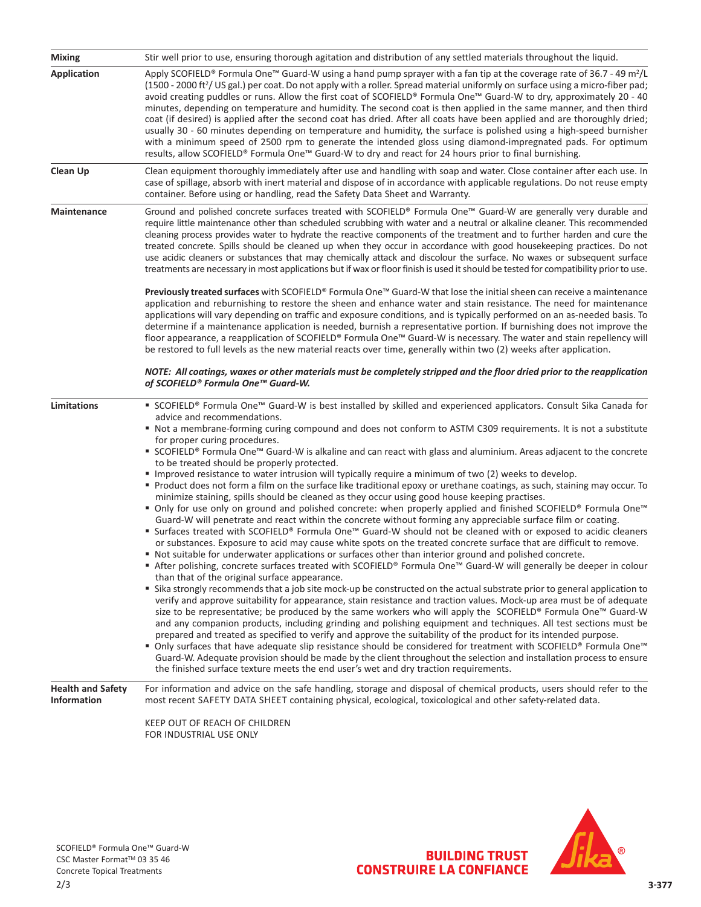| <b>Mixing</b>                                  | Stir well prior to use, ensuring thorough agitation and distribution of any settled materials throughout the liquid.                                                                                                                                                                                                                                                                                                                                                                                                                                                                                                                                                                                                                                                                                                                                                                                                                                                                                                                                                                                                                                                                                                                                                                                                                                                                                                                                                                                                                                                                                                                                                                                                                                                                                                                                                                                                                                                                                                                                                                                                                                                                                                                                                                                                                                                                                                                                                                                                                   |  |
|------------------------------------------------|----------------------------------------------------------------------------------------------------------------------------------------------------------------------------------------------------------------------------------------------------------------------------------------------------------------------------------------------------------------------------------------------------------------------------------------------------------------------------------------------------------------------------------------------------------------------------------------------------------------------------------------------------------------------------------------------------------------------------------------------------------------------------------------------------------------------------------------------------------------------------------------------------------------------------------------------------------------------------------------------------------------------------------------------------------------------------------------------------------------------------------------------------------------------------------------------------------------------------------------------------------------------------------------------------------------------------------------------------------------------------------------------------------------------------------------------------------------------------------------------------------------------------------------------------------------------------------------------------------------------------------------------------------------------------------------------------------------------------------------------------------------------------------------------------------------------------------------------------------------------------------------------------------------------------------------------------------------------------------------------------------------------------------------------------------------------------------------------------------------------------------------------------------------------------------------------------------------------------------------------------------------------------------------------------------------------------------------------------------------------------------------------------------------------------------------------------------------------------------------------------------------------------------------|--|
| <b>Application</b>                             | Apply SCOFIELD® Formula One™ Guard-W using a hand pump sprayer with a fan tip at the coverage rate of 36.7 - 49 m <sup>2</sup> /L<br>(1500 - 2000 ft <sup>2</sup> / US gal.) per coat. Do not apply with a roller. Spread material uniformly on surface using a micro-fiber pad;<br>avoid creating puddles or runs. Allow the first coat of SCOFIELD® Formula One™ Guard-W to dry, approximately 20 - 40<br>minutes, depending on temperature and humidity. The second coat is then applied in the same manner, and then third<br>coat (if desired) is applied after the second coat has dried. After all coats have been applied and are thoroughly dried;<br>usually 30 - 60 minutes depending on temperature and humidity, the surface is polished using a high-speed burnisher<br>with a minimum speed of 2500 rpm to generate the intended gloss using diamond-impregnated pads. For optimum<br>results, allow SCOFIELD® Formula One™ Guard-W to dry and react for 24 hours prior to final burnishing.                                                                                                                                                                                                                                                                                                                                                                                                                                                                                                                                                                                                                                                                                                                                                                                                                                                                                                                                                                                                                                                                                                                                                                                                                                                                                                                                                                                                                                                                                                                            |  |
| <b>Clean Up</b>                                | Clean equipment thoroughly immediately after use and handling with soap and water. Close container after each use. In<br>case of spillage, absorb with inert material and dispose of in accordance with applicable regulations. Do not reuse empty<br>container. Before using or handling, read the Safety Data Sheet and Warranty.                                                                                                                                                                                                                                                                                                                                                                                                                                                                                                                                                                                                                                                                                                                                                                                                                                                                                                                                                                                                                                                                                                                                                                                                                                                                                                                                                                                                                                                                                                                                                                                                                                                                                                                                                                                                                                                                                                                                                                                                                                                                                                                                                                                                    |  |
| Maintenance                                    | Ground and polished concrete surfaces treated with SCOFIELD® Formula One™ Guard-W are generally very durable and<br>require little maintenance other than scheduled scrubbing with water and a neutral or alkaline cleaner. This recommended<br>cleaning process provides water to hydrate the reactive components of the treatment and to further harden and cure the<br>treated concrete. Spills should be cleaned up when they occur in accordance with good housekeeping practices. Do not<br>use acidic cleaners or substances that may chemically attack and discolour the surface. No waxes or subsequent surface<br>treatments are necessary in most applications but if wax or floor finish is used it should be tested for compatibility prior to use.                                                                                                                                                                                                                                                                                                                                                                                                                                                                                                                                                                                                                                                                                                                                                                                                                                                                                                                                                                                                                                                                                                                                                                                                                                                                                                                                                                                                                                                                                                                                                                                                                                                                                                                                                                       |  |
|                                                | Previously treated surfaces with SCOFIELD® Formula One™ Guard-W that lose the initial sheen can receive a maintenance<br>application and reburnishing to restore the sheen and enhance water and stain resistance. The need for maintenance<br>applications will vary depending on traffic and exposure conditions, and is typically performed on an as-needed basis. To<br>determine if a maintenance application is needed, burnish a representative portion. If burnishing does not improve the<br>floor appearance, a reapplication of SCOFIELD® Formula One™ Guard-W is necessary. The water and stain repellency will<br>be restored to full levels as the new material reacts over time, generally within two (2) weeks after application.                                                                                                                                                                                                                                                                                                                                                                                                                                                                                                                                                                                                                                                                                                                                                                                                                                                                                                                                                                                                                                                                                                                                                                                                                                                                                                                                                                                                                                                                                                                                                                                                                                                                                                                                                                                      |  |
|                                                | NOTE: All coatings, waxes or other materials must be completely stripped and the floor dried prior to the reapplication<br>of SCOFIELD® Formula One™ Guard-W.                                                                                                                                                                                                                                                                                                                                                                                                                                                                                                                                                                                                                                                                                                                                                                                                                                                                                                                                                                                                                                                                                                                                                                                                                                                                                                                                                                                                                                                                                                                                                                                                                                                                                                                                                                                                                                                                                                                                                                                                                                                                                                                                                                                                                                                                                                                                                                          |  |
| <b>Limitations</b>                             | ■ SCOFIELD® Formula One™ Guard-W is best installed by skilled and experienced applicators. Consult Sika Canada for<br>advice and recommendations.<br>" Not a membrane-forming curing compound and does not conform to ASTM C309 requirements. It is not a substitute<br>for proper curing procedures.<br>■ SCOFIELD® Formula One™ Guard-W is alkaline and can react with glass and aluminium. Areas adjacent to the concrete<br>to be treated should be properly protected.<br>" Improved resistance to water intrusion will typically require a minimum of two (2) weeks to develop.<br>Product does not form a film on the surface like traditional epoxy or urethane coatings, as such, staining may occur. To<br>minimize staining, spills should be cleaned as they occur using good house keeping practises.<br>■ Only for use only on ground and polished concrete: when properly applied and finished SCOFIELD® Formula One™<br>Guard-W will penetrate and react within the concrete without forming any appreciable surface film or coating.<br>■ Surfaces treated with SCOFIELD® Formula One™ Guard-W should not be cleaned with or exposed to acidic cleaners<br>or substances. Exposure to acid may cause white spots on the treated concrete surface that are difficult to remove.<br>" Not suitable for underwater applications or surfaces other than interior ground and polished concrete.<br>■ After polishing, concrete surfaces treated with SCOFIELD® Formula One™ Guard-W will generally be deeper in colour<br>than that of the original surface appearance.<br>" Sika strongly recommends that a job site mock-up be constructed on the actual substrate prior to general application to<br>verify and approve suitability for appearance, stain resistance and traction values. Mock-up area must be of adequate<br>size to be representative; be produced by the same workers who will apply the SCOFIELD® Formula One™ Guard-W<br>and any companion products, including grinding and polishing equipment and techniques. All test sections must be<br>prepared and treated as specified to verify and approve the suitability of the product for its intended purpose.<br>■ Only surfaces that have adequate slip resistance should be considered for treatment with SCOFIELD® Formula One™<br>Guard-W. Adequate provision should be made by the client throughout the selection and installation process to ensure<br>the finished surface texture meets the end user's wet and dry traction requirements. |  |
| <b>Health and Safety</b><br><b>Information</b> | For information and advice on the safe handling, storage and disposal of chemical products, users should refer to the<br>most recent SAFETY DATA SHEET containing physical, ecological, toxicological and other safety-related data.<br>KEEP OUT OF REACH OF CHILDREN                                                                                                                                                                                                                                                                                                                                                                                                                                                                                                                                                                                                                                                                                                                                                                                                                                                                                                                                                                                                                                                                                                                                                                                                                                                                                                                                                                                                                                                                                                                                                                                                                                                                                                                                                                                                                                                                                                                                                                                                                                                                                                                                                                                                                                                                  |  |
|                                                | FOR INDUSTRIAL USE ONLY                                                                                                                                                                                                                                                                                                                                                                                                                                                                                                                                                                                                                                                                                                                                                                                                                                                                                                                                                                                                                                                                                                                                                                                                                                                                                                                                                                                                                                                                                                                                                                                                                                                                                                                                                                                                                                                                                                                                                                                                                                                                                                                                                                                                                                                                                                                                                                                                                                                                                                                |  |